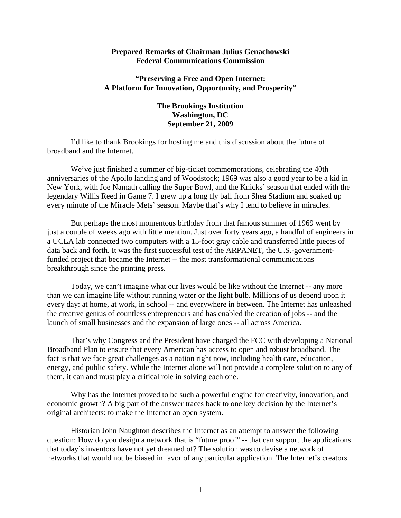## **Prepared Remarks of Chairman Julius Genachowski Federal Communications Commission**

## **"Preserving a Free and Open Internet: A Platform for Innovation, Opportunity, and Prosperity"**

## **The Brookings Institution Washington, DC September 21, 2009**

I'd like to thank Brookings for hosting me and this discussion about the future of broadband and the Internet.

We've just finished a summer of big-ticket commemorations, celebrating the 40th anniversaries of the Apollo landing and of Woodstock; 1969 was also a good year to be a kid in New York, with Joe Namath calling the Super Bowl, and the Knicks' season that ended with the legendary Willis Reed in Game 7. I grew up a long fly ball from Shea Stadium and soaked up every minute of the Miracle Mets' season. Maybe that's why I tend to believe in miracles.

But perhaps the most momentous birthday from that famous summer of 1969 went by just a couple of weeks ago with little mention. Just over forty years ago, a handful of engineers in a UCLA lab connected two computers with a 15-foot gray cable and transferred little pieces of data back and forth. It was the first successful test of the ARPANET, the U.S.-governmentfunded project that became the Internet -- the most transformational communications breakthrough since the printing press.

Today, we can't imagine what our lives would be like without the Internet -- any more than we can imagine life without running water or the light bulb. Millions of us depend upon it every day: at home, at work, in school -- and everywhere in between. The Internet has unleashed the creative genius of countless entrepreneurs and has enabled the creation of jobs -- and the launch of small businesses and the expansion of large ones -- all across America.

That's why Congress and the President have charged the FCC with developing a National Broadband Plan to ensure that every American has access to open and robust broadband. The fact is that we face great challenges as a nation right now, including health care, education, energy, and public safety. While the Internet alone will not provide a complete solution to any of them, it can and must play a critical role in solving each one.

Why has the Internet proved to be such a powerful engine for creativity, innovation, and economic growth? A big part of the answer traces back to one key decision by the Internet's original architects: to make the Internet an open system.

Historian John Naughton describes the Internet as an attempt to answer the following question: How do you design a network that is "future proof" -- that can support the applications that today's inventors have not yet dreamed of? The solution was to devise a network of networks that would not be biased in favor of any particular application. The Internet's creators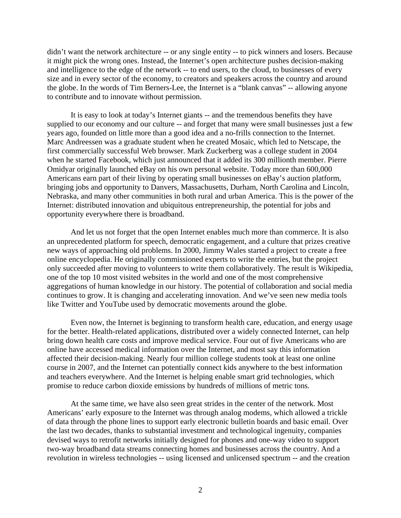didn't want the network architecture -- or any single entity -- to pick winners and losers. Because it might pick the wrong ones. Instead, the Internet's open architecture pushes decision-making and intelligence to the edge of the network -- to end users, to the cloud, to businesses of every size and in every sector of the economy, to creators and speakers across the country and around the globe. In the words of Tim Berners-Lee, the Internet is a "blank canvas" -- allowing anyone to contribute and to innovate without permission.

It is easy to look at today's Internet giants -- and the tremendous benefits they have supplied to our economy and our culture -- and forget that many were small businesses just a few years ago, founded on little more than a good idea and a no-frills connection to the Internet. Marc Andreessen was a graduate student when he created Mosaic, which led to Netscape, the first commercially successful Web browser. Mark Zuckerberg was a college student in 2004 when he started Facebook, which just announced that it added its 300 millionth member. Pierre Omidyar originally launched eBay on his own personal website. Today more than 600,000 Americans earn part of their living by operating small businesses on eBay's auction platform, bringing jobs and opportunity to Danvers, Massachusetts, Durham, North Carolina and Lincoln, Nebraska, and many other communities in both rural and urban America. This is the power of the Internet: distributed innovation and ubiquitous entrepreneurship, the potential for jobs and opportunity everywhere there is broadband.

And let us not forget that the open Internet enables much more than commerce. It is also an unprecedented platform for speech, democratic engagement, and a culture that prizes creative new ways of approaching old problems. In 2000, Jimmy Wales started a project to create a free online encyclopedia. He originally commissioned experts to write the entries, but the project only succeeded after moving to volunteers to write them collaboratively. The result is Wikipedia, one of the top 10 most visited websites in the world and one of the most comprehensive aggregations of human knowledge in our history. The potential of collaboration and social media continues to grow. It is changing and accelerating innovation. And we've seen new media tools like Twitter and YouTube used by democratic movements around the globe.

Even now, the Internet is beginning to transform health care, education, and energy usage for the better. Health-related applications, distributed over a widely connected Internet, can help bring down health care costs and improve medical service. Four out of five Americans who are online have accessed medical information over the Internet, and most say this information affected their decision-making. Nearly four million college students took at least one online course in 2007, and the Internet can potentially connect kids anywhere to the best information and teachers everywhere. And the Internet is helping enable smart grid technologies, which promise to reduce carbon dioxide emissions by hundreds of millions of metric tons.

At the same time, we have also seen great strides in the center of the network. Most Americans' early exposure to the Internet was through analog modems, which allowed a trickle of data through the phone lines to support early electronic bulletin boards and basic email. Over the last two decades, thanks to substantial investment and technological ingenuity, companies devised ways to retrofit networks initially designed for phones and one-way video to support two-way broadband data streams connecting homes and businesses across the country. And a revolution in wireless technologies -- using licensed and unlicensed spectrum -- and the creation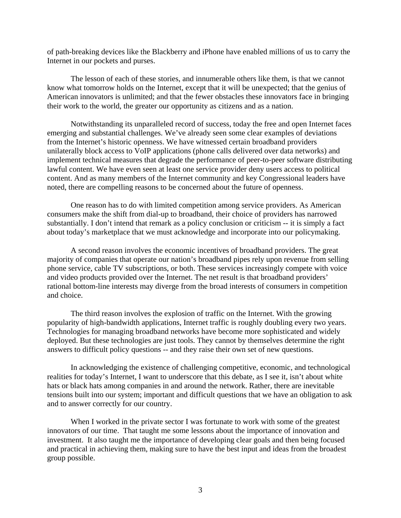of path-breaking devices like the Blackberry and iPhone have enabled millions of us to carry the Internet in our pockets and purses.

The lesson of each of these stories, and innumerable others like them, is that we cannot know what tomorrow holds on the Internet, except that it will be unexpected; that the genius of American innovators is unlimited; and that the fewer obstacles these innovators face in bringing their work to the world, the greater our opportunity as citizens and as a nation.

Notwithstanding its unparalleled record of success, today the free and open Internet faces emerging and substantial challenges. We've already seen some clear examples of deviations from the Internet's historic openness. We have witnessed certain broadband providers unilaterally block access to VoIP applications (phone calls delivered over data networks) and implement technical measures that degrade the performance of peer-to-peer software distributing lawful content. We have even seen at least one service provider deny users access to political content. And as many members of the Internet community and key Congressional leaders have noted, there are compelling reasons to be concerned about the future of openness.

One reason has to do with limited competition among service providers. As American consumers make the shift from dial-up to broadband, their choice of providers has narrowed substantially. I don't intend that remark as a policy conclusion or criticism -- it is simply a fact about today's marketplace that we must acknowledge and incorporate into our policymaking.

A second reason involves the economic incentives of broadband providers. The great majority of companies that operate our nation's broadband pipes rely upon revenue from selling phone service, cable TV subscriptions, or both. These services increasingly compete with voice and video products provided over the Internet. The net result is that broadband providers' rational bottom-line interests may diverge from the broad interests of consumers in competition and choice.

The third reason involves the explosion of traffic on the Internet. With the growing popularity of high-bandwidth applications, Internet traffic is roughly doubling every two years. Technologies for managing broadband networks have become more sophisticated and widely deployed. But these technologies are just tools. They cannot by themselves determine the right answers to difficult policy questions -- and they raise their own set of new questions.

In acknowledging the existence of challenging competitive, economic, and technological realities for today's Internet, I want to underscore that this debate, as I see it, isn't about white hats or black hats among companies in and around the network. Rather, there are inevitable tensions built into our system; important and difficult questions that we have an obligation to ask and to answer correctly for our country.

When I worked in the private sector I was fortunate to work with some of the greatest innovators of our time. That taught me some lessons about the importance of innovation and investment. It also taught me the importance of developing clear goals and then being focused and practical in achieving them, making sure to have the best input and ideas from the broadest group possible.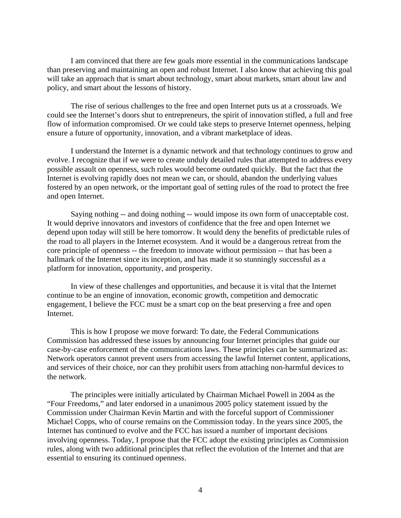I am convinced that there are few goals more essential in the communications landscape than preserving and maintaining an open and robust Internet. I also know that achieving this goal will take an approach that is smart about technology, smart about markets, smart about law and policy, and smart about the lessons of history.

The rise of serious challenges to the free and open Internet puts us at a crossroads. We could see the Internet's doors shut to entrepreneurs, the spirit of innovation stifled, a full and free flow of information compromised. Or we could take steps to preserve Internet openness, helping ensure a future of opportunity, innovation, and a vibrant marketplace of ideas.

I understand the Internet is a dynamic network and that technology continues to grow and evolve. I recognize that if we were to create unduly detailed rules that attempted to address every possible assault on openness, such rules would become outdated quickly. But the fact that the Internet is evolving rapidly does not mean we can, or should, abandon the underlying values fostered by an open network, or the important goal of setting rules of the road to protect the free and open Internet.

Saying nothing -- and doing nothing -- would impose its own form of unacceptable cost. It would deprive innovators and investors of confidence that the free and open Internet we depend upon today will still be here tomorrow. It would deny the benefits of predictable rules of the road to all players in the Internet ecosystem. And it would be a dangerous retreat from the core principle of openness -- the freedom to innovate without permission -- that has been a hallmark of the Internet since its inception, and has made it so stunningly successful as a platform for innovation, opportunity, and prosperity.

In view of these challenges and opportunities, and because it is vital that the Internet continue to be an engine of innovation, economic growth, competition and democratic engagement, I believe the FCC must be a smart cop on the beat preserving a free and open Internet.

This is how I propose we move forward: To date, the Federal Communications Commission has addressed these issues by announcing four Internet principles that guide our case-by-case enforcement of the communications laws. These principles can be summarized as: Network operators cannot prevent users from accessing the lawful Internet content, applications, and services of their choice, nor can they prohibit users from attaching non-harmful devices to the network.

The principles were initially articulated by Chairman Michael Powell in 2004 as the "Four Freedoms," and later endorsed in a unanimous 2005 policy statement issued by the Commission under Chairman Kevin Martin and with the forceful support of Commissioner Michael Copps, who of course remains on the Commission today. In the years since 2005, the Internet has continued to evolve and the FCC has issued a number of important decisions involving openness. Today, I propose that the FCC adopt the existing principles as Commission rules, along with two additional principles that reflect the evolution of the Internet and that are essential to ensuring its continued openness.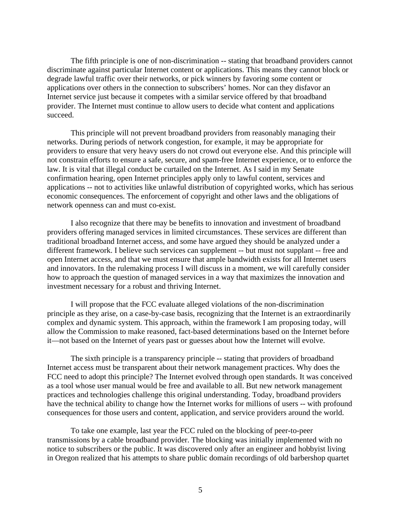The fifth principle is one of non-discrimination -- stating that broadband providers cannot discriminate against particular Internet content or applications. This means they cannot block or degrade lawful traffic over their networks, or pick winners by favoring some content or applications over others in the connection to subscribers' homes. Nor can they disfavor an Internet service just because it competes with a similar service offered by that broadband provider. The Internet must continue to allow users to decide what content and applications succeed.

This principle will not prevent broadband providers from reasonably managing their networks. During periods of network congestion, for example, it may be appropriate for providers to ensure that very heavy users do not crowd out everyone else. And this principle will not constrain efforts to ensure a safe, secure, and spam-free Internet experience, or to enforce the law. It is vital that illegal conduct be curtailed on the Internet. As I said in my Senate confirmation hearing, open Internet principles apply only to lawful content, services and applications -- not to activities like unlawful distribution of copyrighted works, which has serious economic consequences. The enforcement of copyright and other laws and the obligations of network openness can and must co-exist.

I also recognize that there may be benefits to innovation and investment of broadband providers offering managed services in limited circumstances. These services are different than traditional broadband Internet access, and some have argued they should be analyzed under a different framework. I believe such services can supplement -- but must not supplant -- free and open Internet access, and that we must ensure that ample bandwidth exists for all Internet users and innovators. In the rulemaking process I will discuss in a moment, we will carefully consider how to approach the question of managed services in a way that maximizes the innovation and investment necessary for a robust and thriving Internet.

I will propose that the FCC evaluate alleged violations of the non-discrimination principle as they arise, on a case-by-case basis, recognizing that the Internet is an extraordinarily complex and dynamic system. This approach, within the framework I am proposing today, will allow the Commission to make reasoned, fact-based determinations based on the Internet before it—not based on the Internet of years past or guesses about how the Internet will evolve.

The sixth principle is a transparency principle -- stating that providers of broadband Internet access must be transparent about their network management practices. Why does the FCC need to adopt this principle? The Internet evolved through open standards. It was conceived as a tool whose user manual would be free and available to all. But new network management practices and technologies challenge this original understanding. Today, broadband providers have the technical ability to change how the Internet works for millions of users -- with profound consequences for those users and content, application, and service providers around the world.

To take one example, last year the FCC ruled on the blocking of peer-to-peer transmissions by a cable broadband provider. The blocking was initially implemented with no notice to subscribers or the public. It was discovered only after an engineer and hobbyist living in Oregon realized that his attempts to share public domain recordings of old barbershop quartet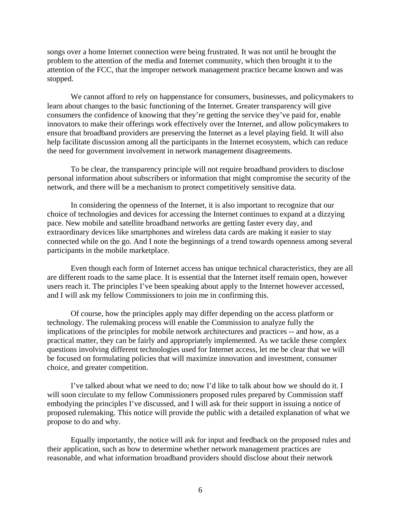songs over a home Internet connection were being frustrated. It was not until he brought the problem to the attention of the media and Internet community, which then brought it to the attention of the FCC, that the improper network management practice became known and was stopped.

We cannot afford to rely on happenstance for consumers, businesses, and policymakers to learn about changes to the basic functioning of the Internet. Greater transparency will give consumers the confidence of knowing that they're getting the service they've paid for, enable innovators to make their offerings work effectively over the Internet, and allow policymakers to ensure that broadband providers are preserving the Internet as a level playing field. It will also help facilitate discussion among all the participants in the Internet ecosystem, which can reduce the need for government involvement in network management disagreements.

To be clear, the transparency principle will not require broadband providers to disclose personal information about subscribers or information that might compromise the security of the network, and there will be a mechanism to protect competitively sensitive data.

In considering the openness of the Internet, it is also important to recognize that our choice of technologies and devices for accessing the Internet continues to expand at a dizzying pace. New mobile and satellite broadband networks are getting faster every day, and extraordinary devices like smartphones and wireless data cards are making it easier to stay connected while on the go. And I note the beginnings of a trend towards openness among several participants in the mobile marketplace.

Even though each form of Internet access has unique technical characteristics, they are all are different roads to the same place. It is essential that the Internet itself remain open, however users reach it. The principles I've been speaking about apply to the Internet however accessed, and I will ask my fellow Commissioners to join me in confirming this.

Of course, how the principles apply may differ depending on the access platform or technology. The rulemaking process will enable the Commission to analyze fully the implications of the principles for mobile network architectures and practices -- and how, as a practical matter, they can be fairly and appropriately implemented. As we tackle these complex questions involving different technologies used for Internet access, let me be clear that we will be focused on formulating policies that will maximize innovation and investment, consumer choice, and greater competition.

I've talked about what we need to do; now I'd like to talk about how we should do it. I will soon circulate to my fellow Commissioners proposed rules prepared by Commission staff embodying the principles I've discussed, and I will ask for their support in issuing a notice of proposed rulemaking. This notice will provide the public with a detailed explanation of what we propose to do and why.

Equally importantly, the notice will ask for input and feedback on the proposed rules and their application, such as how to determine whether network management practices are reasonable, and what information broadband providers should disclose about their network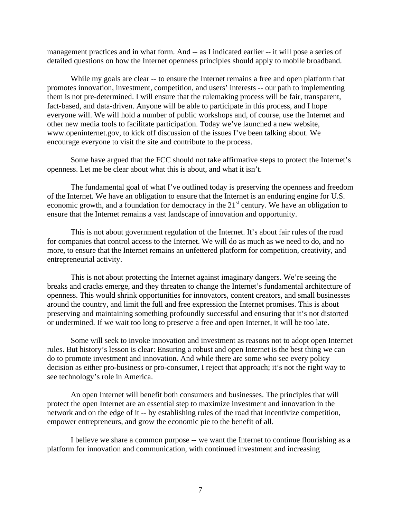management practices and in what form. And -- as I indicated earlier -- it will pose a series of detailed questions on how the Internet openness principles should apply to mobile broadband.

While my goals are clear -- to ensure the Internet remains a free and open platform that promotes innovation, investment, competition, and users' interests -- our path to implementing them is not pre-determined. I will ensure that the rulemaking process will be fair, transparent, fact-based, and data-driven. Anyone will be able to participate in this process, and I hope everyone will. We will hold a number of public workshops and, of course, use the Internet and other new media tools to facilitate participation. Today we've launched a new website, www.openinternet.gov, to kick off discussion of the issues I've been talking about. We encourage everyone to visit the site and contribute to the process.

Some have argued that the FCC should not take affirmative steps to protect the Internet's openness. Let me be clear about what this is about, and what it isn't.

The fundamental goal of what I've outlined today is preserving the openness and freedom of the Internet. We have an obligation to ensure that the Internet is an enduring engine for U.S. economic growth, and a foundation for democracy in the  $21<sup>st</sup>$  century. We have an obligation to ensure that the Internet remains a vast landscape of innovation and opportunity.

This is not about government regulation of the Internet. It's about fair rules of the road for companies that control access to the Internet. We will do as much as we need to do, and no more, to ensure that the Internet remains an unfettered platform for competition, creativity, and entrepreneurial activity.

This is not about protecting the Internet against imaginary dangers. We're seeing the breaks and cracks emerge, and they threaten to change the Internet's fundamental architecture of openness. This would shrink opportunities for innovators, content creators, and small businesses around the country, and limit the full and free expression the Internet promises. This is about preserving and maintaining something profoundly successful and ensuring that it's not distorted or undermined. If we wait too long to preserve a free and open Internet, it will be too late.

Some will seek to invoke innovation and investment as reasons not to adopt open Internet rules. But history's lesson is clear: Ensuring a robust and open Internet is the best thing we can do to promote investment and innovation. And while there are some who see every policy decision as either pro-business or pro-consumer, I reject that approach; it's not the right way to see technology's role in America.

An open Internet will benefit both consumers and businesses. The principles that will protect the open Internet are an essential step to maximize investment and innovation in the network and on the edge of it -- by establishing rules of the road that incentivize competition, empower entrepreneurs, and grow the economic pie to the benefit of all.

I believe we share a common purpose -- we want the Internet to continue flourishing as a platform for innovation and communication, with continued investment and increasing